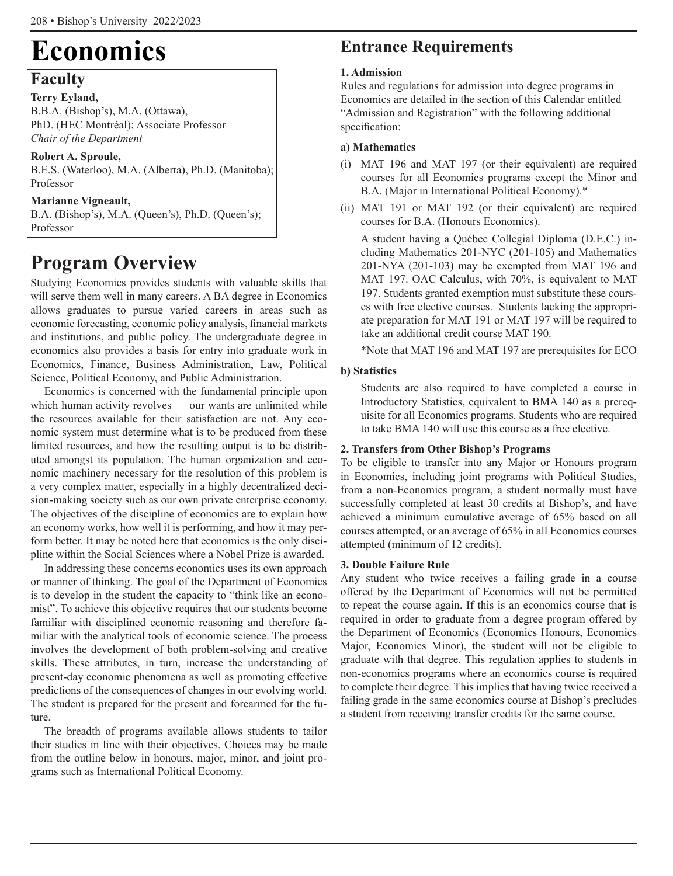# **Economics**

## **Faculty**

**Terry Eyland,** B.B.A. (Bishop's), M.A. (Ottawa), PhD. (HEC Montréal); Associate Professor *Chair of the Department*

**Robert A. Sproule,**  B.E.S. (Waterloo), M.A. (Alberta), Ph.D. (Manitoba); Professor

### **Marianne Vigneault,**

B.A. (Bishop's), M.A. (Queen's), Ph.D. (Queen's); Professor

# **Program Overview**

Studying Economics provides students with valuable skills that will serve them well in many careers. A BA degree in Economics allows graduates to pursue varied careers in areas such as economic forecasting, economic policy analysis, financial markets and institutions, and public policy. The undergraduate degree in economics also provides a basis for entry into graduate work in Economics, Finance, Business Administration, Law, Political Science, Political Economy, and Public Administration.

Economics is concerned with the fundamental principle upon which human activity revolves — our wants are unlimited while the resources available for their satisfaction are not. Any economic system must determine what is to be produced from these limited resources, and how the resulting output is to be distributed amongst its population. The human organization and economic machinery necessary for the resolution of this problem is a very complex matter, especially in a highly decentralized decision-making society such as our own private enterprise economy. The objectives of the discipline of economics are to explain how an economy works, how well it is performing, and how it may perform better. It may be noted here that economics is the only discipline within the Social Sciences where a Nobel Prize is awarded.

In addressing these concerns economics uses its own approach or manner of thinking. The goal of the Department of Economics is to develop in the student the capacity to "think like an economist". To achieve this objective requires that our students become familiar with disciplined economic reasoning and therefore familiar with the analytical tools of economic science. The process involves the development of both problem-solving and creative skills. These attributes, in turn, increase the understanding of present-day economic phenomena as well as promoting effective predictions of the consequences of changes in our evolving world. The student is prepared for the present and forearmed for the future.

The breadth of programs available allows students to tailor their studies in line with their objectives. Choices may be made from the outline below in honours, major, minor, and joint programs such as International Political Economy.

## **Entrance Requirements**

### **1. Admission**

Rules and regulations for admission into degree programs in Economics are detailed in the section of this Calendar entitled "Admission and Registration" with the following additional specification:

### **a) Mathematics**

- (i) MAT 196 and MAT 197 (or their equivalent) are required courses for all Economics programs except the Minor and B.A. (Major in International Political Economy).\*
- (ii) MAT 191 or MAT 192 (or their equivalent) are required courses for B.A. (Honours Economics).

A student having a Québec Collegial Diploma (D.E.C.) including Mathematics 201-NYC (201-105) and Mathematics 201-NYA (201-103) may be exempted from MAT 196 and MAT 197. OAC Calculus, with 70%, is equivalent to MAT 197. Students granted exemption must substitute these courses with free elective courses. Students lacking the appropriate preparation for MAT 191 or MAT 197 will be required to take an additional credit course MAT 190.

\*Note that MAT 196 and MAT 197 are prerequisites for ECO

### **b) Statistics**

Students are also required to have completed a course in Introductory Statistics, equivalent to BMA 140 as a prerequisite for all Economics programs. Students who are required to take BMA 140 will use this course as a free elective.

### **2. Transfers from Other Bishop's Programs**

To be eligible to transfer into any Major or Honours program in Economics, including joint programs with Political Studies, from a non-Economics program, a student normally must have successfully completed at least 30 credits at Bishop's, and have achieved a minimum cumulative average of 65% based on all courses attempted, or an average of 65% in all Economics courses attempted (minimum of 12 credits).

### **3. Double Failure Rule**

Any student who twice receives a failing grade in a course offered by the Department of Economics will not be permitted to repeat the course again. If this is an economics course that is required in order to graduate from a degree program offered by the Department of Economics (Economics Honours, Economics Major, Economics Minor), the student will not be eligible to graduate with that degree. This regulation applies to students in non-economics programs where an economics course is required to complete their degree. This implies that having twice received a failing grade in the same economics course at Bishop's precludes a student from receiving transfer credits for the same course.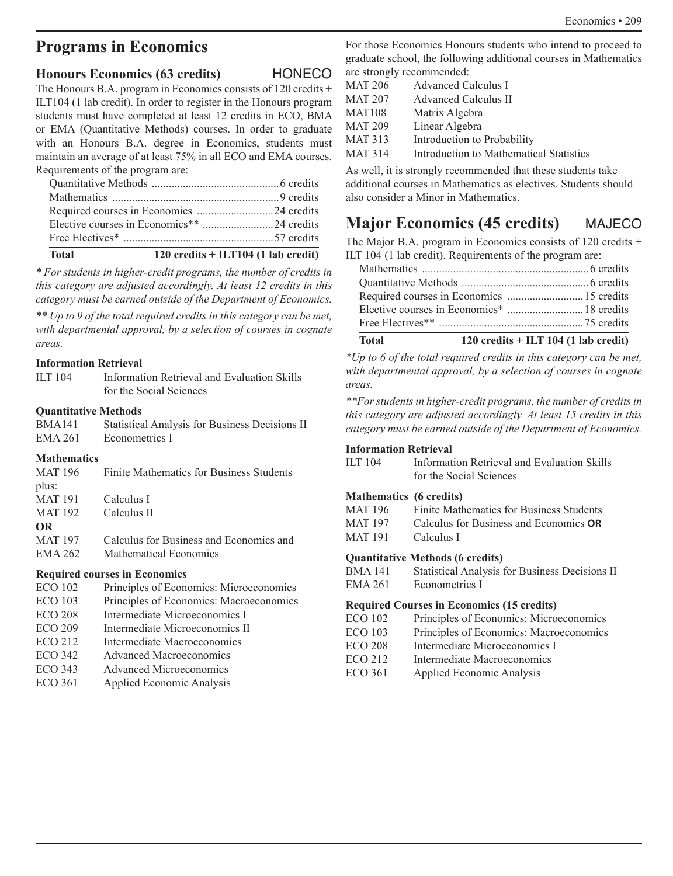## **Programs in Economics**

### **Honours Economics (63 credits)** HONECO

The Honours B.A. program in Economics consists of 120 credits + ILT104 (1 lab credit). In order to register in the Honours program students must have completed at least 12 credits in ECO, BMA or EMA (Quantitative Methods) courses. In order to graduate with an Honours B.A. degree in Economics, students must maintain an average of at least 75% in all ECO and EMA courses. Requirements of the program are:

| $\mathbf{F}$ and $\mathbf{F}$ and $\mathbf{F}$ and $\mathbf{F}$ are $\mathbf{F}$ and $\mathbf{F}$ and $\mathbf{F}$ and $\mathbf{F}$ and $\mathbf{F}$ are $\mathbf{F}$ and $\mathbf{F}$ are $\mathbf{F}$ and $\mathbf{F}$ are $\mathbf{F}$ and $\mathbf{F}$ are $\mathbf{F}$ and $\mathbf{F}$ are |  |
|--------------------------------------------------------------------------------------------------------------------------------------------------------------------------------------------------------------------------------------------------------------------------------------------------|--|
|                                                                                                                                                                                                                                                                                                  |  |
|                                                                                                                                                                                                                                                                                                  |  |
|                                                                                                                                                                                                                                                                                                  |  |
|                                                                                                                                                                                                                                                                                                  |  |
|                                                                                                                                                                                                                                                                                                  |  |

### **Total 120 credits + ILT104 (1 lab credit)**

*\* For students in higher-credit programs, the number of credits in this category are adjusted accordingly. At least 12 credits in this category must be earned outside of the Department of Economics.*

*\*\* Up to 9 of the total required credits in this category can be met, with departmental approval, by a selection of courses in cognate areas.*

### **Information Retrieval**

| ILT 104 | Information Retrieval and Evaluation Skills |
|---------|---------------------------------------------|
|         | for the Social Sciences                     |

### **Quantitative Methods**

| <b>BMA141</b> | Statistical Analysis for Business Decisions II |
|---------------|------------------------------------------------|
| EMA 261       | Econometrics I                                 |

### **Mathematics**

| MAT 196        | Finite Mathematics for Business Students |
|----------------|------------------------------------------|
| plus:          |                                          |
| <b>MAT 191</b> | Calculus I                               |
| <b>MAT 192</b> | Calculus II                              |
| <b>OR</b>      |                                          |
| <b>MAT 197</b> | Calculus for Business and Economics and  |
| EMA 262        | <b>Mathematical Economics</b>            |
|                |                                          |

### **Required courses in Economics**

- ECO 102 Principles of Economics: Microeconomics
- ECO 103 Principles of Economics: Macroeconomics
- ECO 208 Intermediate Microeconomics I
- ECO 209 Intermediate Microeconomics II
- ECO 212 Intermediate Macroeconomics
- ECO 342 Advanced Macroeconomics
- ECO 343 Advanced Microeconomics
- ECO 361 Applied Economic Analysis

For those Economics Honours students who intend to proceed to graduate school, the following additional courses in Mathematics are strongly recommended:

| <b>MAT 206</b> | Advanced Calculus I                     |
|----------------|-----------------------------------------|
| <b>MAT 207</b> | <b>Advanced Calculus II</b>             |
| <b>MAT108</b>  | Matrix Algebra                          |
| <b>MAT 209</b> | Linear Algebra                          |
| <b>MAT 313</b> | Introduction to Probability             |
| <b>MAT 314</b> | Introduction to Mathematical Statistics |

As well, it is strongly recommended that these students take additional courses in Mathematics as electives. Students should also consider a Minor in Mathematics.

## **Major Economics (45 credits)** MAJECO

The Major B.A. program in Economics consists of 120 credits + ILT 104 (1 lab credit). Requirements of the program are:

*\*Up to 6 of the total required credits in this category can be met, with departmental approval, by a selection of courses in cognate areas.*

*\*\*For students in higher-credit programs, the number of credits in this category are adjusted accordingly. At least 15 credits in this category must be earned outside of the Department of Economics.*

### **Information Retrieval**

| ILT $104$ | Information Retrieval and Evaluation Skills |
|-----------|---------------------------------------------|
|           | for the Social Sciences                     |

### **Mathematics (6 credits)**

| MAT 196 | Finite Mathematics for Business Students      |
|---------|-----------------------------------------------|
| MAT 197 | Calculus for Business and Economics <b>OR</b> |
| MAT 191 | Calculus I                                    |
|         | $\alpha$ is a set of the set of $\alpha$      |

### **Quantitative Methods (6 credits)**

| BMA 141 | Statistical Analysis for Business Decisions II |
|---------|------------------------------------------------|
| EMA 261 | Econometrics I                                 |

### **Required Courses in Economics (15 credits)**

| ECO 102        | Principles of Economics: Microeconomics |
|----------------|-----------------------------------------|
| ECO 103        | Principles of Economics: Macroeconomics |
| <b>ECO 208</b> | Intermediate Microeconomics I           |
| ECO 212        | Intermediate Macroeconomics             |
|                |                                         |

ECO 361 Applied Economic Analysis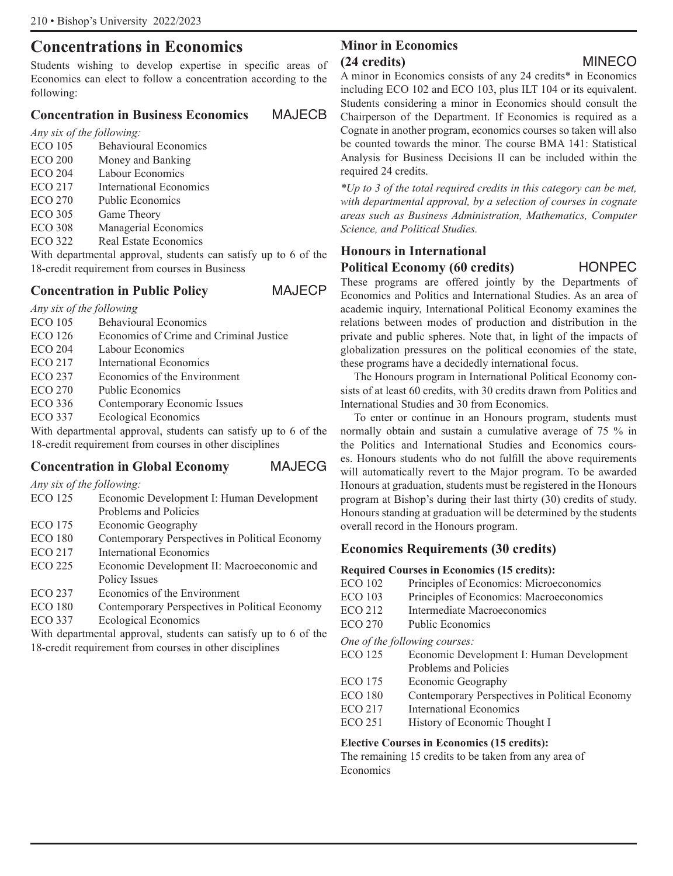# **Concentrations in Economics**

Students wishing to develop expertise in specific areas of Economics can elect to follow a concentration according to the following:

### **Concentration in Business Economics** MAJECB

*Any six of the following:*

ECO 105 Behavioural Economics ECO 200 Money and Banking ECO 204 Labour Economics ECO 217 International Economics ECO 270 Public Economics ECO 305 Game Theory ECO 308 Managerial Economics ECO 322 Real Estate Economics

With departmental approval, students can satisfy up to 6 of the 18-credit requirement from courses in Business

### **Concentration in Public Policy** MAJECP

*Any six of the following*

- Behavioural Economics
- ECO 126 Economics of Crime and Criminal Justice
- ECO 204 Labour Economics
- ECO 217 International Economics ECO 237 Economics of the Environment
- 
- ECO 270 Public Economics
- ECO 336 Contemporary Economic Issues

ECO 337 Ecological Economics

With departmental approval, students can satisfy up to 6 of the 18-credit requirement from courses in other disciplines

## **Concentration in Global Economy** MAJECG

*Any six of the following:*

| <b>ECO 125</b> | Economic Development I: Human Development                       |
|----------------|-----------------------------------------------------------------|
|                | Problems and Policies                                           |
| <b>ECO 175</b> | Economic Geography                                              |
| <b>ECO 180</b> | Contemporary Perspectives in Political Economy                  |
| <b>ECO 217</b> | <b>International Economics</b>                                  |
| <b>ECO 225</b> | Economic Development II: Macroeconomic and                      |
|                | Policy Issues                                                   |
| <b>ECO 237</b> | Economics of the Environment                                    |
| <b>ECO 180</b> | Contemporary Perspectives in Political Economy                  |
| <b>ECO 337</b> | <b>Ecological Economics</b>                                     |
|                | With departmental approval, students can satisfy up to 6 of the |

18-credit requirement from courses in other disciplines

### **Minor in Economics (24 credits)** MINECO

A minor in Economics consists of any 24 credits\* in Economics including ECO 102 and ECO 103, plus ILT 104 or its equivalent. Students considering a minor in Economics should consult the Chairperson of the Department. If Economics is required as a Cognate in another program, economics courses so taken will also be counted towards the minor. The course BMA 141: Statistical Analysis for Business Decisions II can be included within the required 24 credits.

*\*Up to 3 of the total required credits in this category can be met, with departmental approval, by a selection of courses in cognate areas such as Business Administration, Mathematics, Computer Science, and Political Studies.*

### **Honours in International**

### **Political Economy (60 credits)** HONPEC

These programs are offered jointly by the Departments of Economics and Politics and International Studies. As an area of academic inquiry, International Political Economy examines the relations between modes of production and distribution in the private and public spheres. Note that, in light of the impacts of globalization pressures on the political economies of the state, these programs have a decidedly international focus.

The Honours program in International Political Economy consists of at least 60 credits, with 30 credits drawn from Politics and International Studies and 30 from Economics.

To enter or continue in an Honours program, students must normally obtain and sustain a cumulative average of 75 % in the Politics and International Studies and Economics courses. Honours students who do not fulfill the above requirements will automatically revert to the Major program. To be awarded Honours at graduation, students must be registered in the Honours program at Bishop's during their last thirty (30) credits of study. Honours standing at graduation will be determined by the students overall record in the Honours program.

### **Economics Requirements (30 credits)**

### **Required Courses in Economics (15 credits):**

- ECO 102 Principles of Economics: Microeconomics
- ECO 103 Principles of Economics: Macroeconomics
- ECO 212 Intermediate Macroeconomics

ECO 270 Public Economics

*One of the following courses:*

| <b>ECO 125</b> | Economic Development I: Human Development      |
|----------------|------------------------------------------------|
|                | Problems and Policies                          |
| <b>ECO</b> 175 | Economic Geography                             |
| <b>ECO 180</b> | Contemporary Perspectives in Political Economy |
| <b>ECO 217</b> | <b>International Economics</b>                 |
| <b>ECO 251</b> | History of Economic Thought I                  |
|                |                                                |

### **Elective Courses in Economics (15 credits):**

The remaining 15 credits to be taken from any area of Economics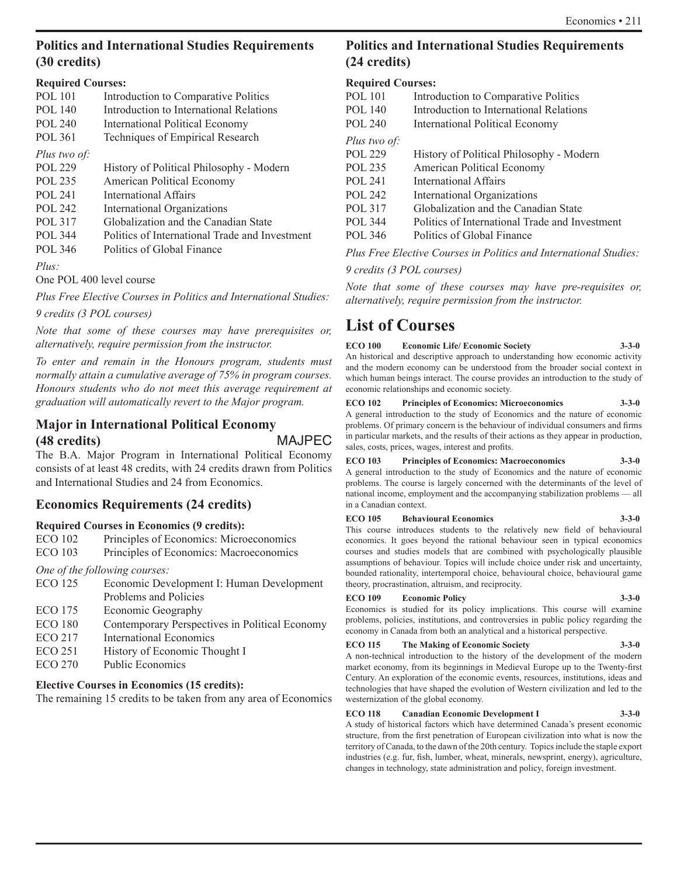### **Politics and International Studies Requirements (30 credits)**

### **Required Courses:**

| <b>POL</b> 101 | Introduction to Comparative Politics           |
|----------------|------------------------------------------------|
| <b>POL 140</b> | Introduction to International Relations        |
| POL 240        | International Political Economy                |
| <b>POL 361</b> | Techniques of Empirical Research               |
| Plus two of:   |                                                |
| POL 229        | History of Political Philosophy - Modern       |
| POL 235        | American Political Economy                     |
| POL 241        | International Affairs                          |
| POL 242        | International Organizations                    |
| <b>POL 317</b> | Globalization and the Canadian State           |
| POL 344        | Politics of International Trade and Investment |
| POL 346        | Politics of Global Finance                     |
| Plus:          |                                                |

One POL 400 level course

*Plus Free Elective Courses in Politics and International Studies:*

*9 credits (3 POL courses)*

*Note that some of these courses may have prerequisites or, alternatively, require permission from the instructor.*

*To enter and remain in the Honours program, students must normally attain a cumulative average of 75% in program courses. Honours students who do not meet this average requirement at graduation will automatically revert to the Major program.*

### **Major in International Political Economy (48 credits)** MAJPEC

The B.A. Major Program in International Political Economy consists of at least 48 credits, with 24 credits drawn from Politics and International Studies and 24 from Economics.

### **Economics Requirements (24 credits)**

### **Required Courses in Economics (9 credits):**

ECO 102 Principles of Economics: Microeconomics

ECO 103 Principles of Economics: Macroeconomics

*One of the following courses:*

ECO 125 Economic Development I: Human Development Problems and Policies ECO 175 Economic Geography ECO 180 Contemporary Perspectives in Political Economy ECO 217 International Economics ECO 251 History of Economic Thought I

### ECO 270 Public Economics

### **Elective Courses in Economics (15 credits):**

The remaining 15 credits to be taken from any area of Economics

## **Politics and International Studies Requirements (24 credits)**

### **Required Courses:**

| <b>POL</b> 101 | Introduction to Comparative Politics           |
|----------------|------------------------------------------------|
| <b>POL</b> 140 | Introduction to International Relations        |
| <b>POL 240</b> | International Political Economy                |
| Plus two of:   |                                                |
| POL 229        | History of Political Philosophy - Modern       |
| POL 235        | American Political Economy                     |
| POL 241        | International Affairs                          |
| POL 242        | International Organizations                    |
| <b>POL 317</b> | Globalization and the Canadian State           |
| POL 344        | Politics of International Trade and Investment |
| POL 346        | Politics of Global Finance                     |
|                |                                                |

*Plus Free Elective Courses in Politics and International Studies: 9 credits (3 POL courses)*

*Note that some of these courses may have pre-requisites or, alternatively, require permission from the instructor.*

## **List of Courses**

**ECO 100 Economic Life/ Economic Society 3-3-0** An historical and descriptive approach to understanding how economic activity and the modern economy can be understood from the broader social context in which human beings interact. The course provides an introduction to the study of economic relationships and economic society.

#### **ECO 102 Principles of Economics: Microeconomics 3-3-0** A general introduction to the study of Economics and the nature of economic problems. Of primary concern is the behaviour of individual consumers and firms in particular markets, and the results of their actions as they appear in production, sales, costs, prices, wages, interest and profits.

#### **ECO 103 Principles of Economics: Macroeconomics 3-3-0** A general introduction to the study of Economics and the nature of economic problems. The course is largely concerned with the determinants of the level of national income, employment and the accompanying stabilization problems — all in a Canadian context.

#### **ECO 105 Behavioural Economics 3-3-0**

This course introduces students to the relatively new field of behavioural economics. It goes beyond the rational behaviour seen in typical economics courses and studies models that are combined with psychologically plausible assumptions of behaviour. Topics will include choice under risk and uncertainty, bounded rationality, intertemporal choice, behavioural choice, behavioural game theory, procrastination, altruism, and reciprocity.

### **ECO 109 Economic Policy 3-3-0**

Economics is studied for its policy implications. This course will examine problems, policies, institutions, and controversies in public policy regarding the economy in Canada from both an analytical and a historical perspective.

### **ECO 115 The Making of Economic Society 3-3-0**

A non-technical introduction to the history of the development of the modern market economy, from its beginnings in Medieval Europe up to the Twenty-first Century. An exploration of the economic events, resources, institutions, ideas and technologies that have shaped the evolution of Western civilization and led to the westernization of the global economy.

### **ECO 118 Canadian Economic Development I 3-3-0**

A study of historical factors which have determined Canada's present economic structure, from the first penetration of European civilization into what is now the territory of Canada, to the dawn of the 20th century. Topics include the staple export industries (e.g. fur, fish, lumber, wheat, minerals, newsprint, energy), agriculture, changes in technology, state administration and policy, foreign investment.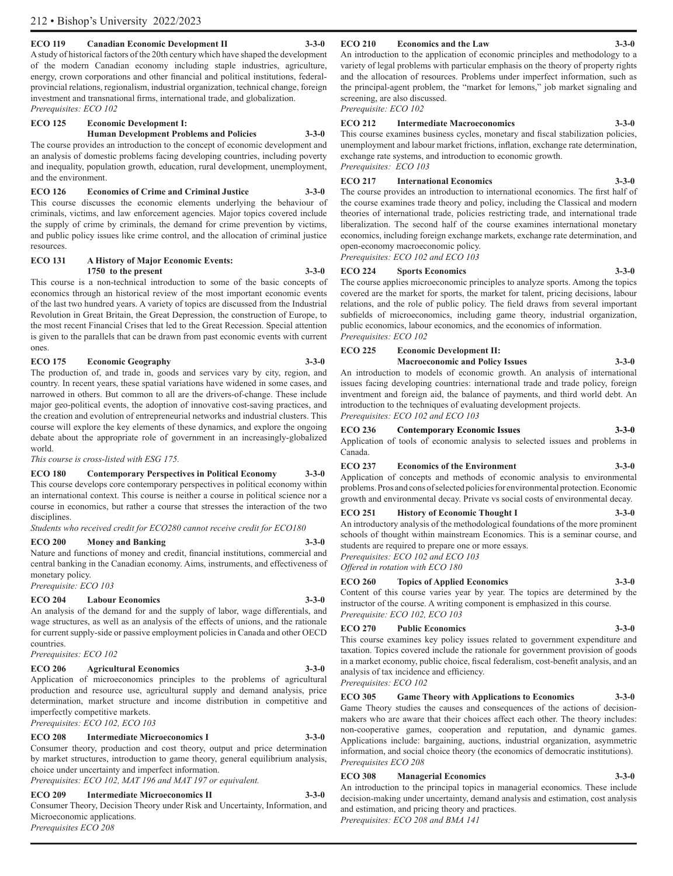#### **ECO 119 Canadian Economic Development II 3-3-0**

A study of historical factors of the 20th century which have shaped the development of the modern Canadian economy including staple industries, agriculture, energy, crown corporations and other financial and political institutions, federalprovincial relations, regionalism, industrial organization, technical change, foreign investment and transnational firms, international trade, and globalization. *Prerequisites: ECO 102*

#### **ECO 125 Economic Development I:**

**Human Development Problems and Policies 3-3-0** The course provides an introduction to the concept of economic development and an analysis of domestic problems facing developing countries, including poverty and inequality, population growth, education, rural development, unemployment, and the environment.

#### **ECO 126 Economics of Crime and Criminal Justice 3-3-0** This course discusses the economic elements underlying the behaviour of

criminals, victims, and law enforcement agencies. Major topics covered include the supply of crime by criminals, the demand for crime prevention by victims, and public policy issues like crime control, and the allocation of criminal justice resources.

#### **ECO 131 A History of Major Economic Events: 1750 to the present 3-3-0**

This course is a non-technical introduction to some of the basic concepts of economics through an historical review of the most important economic events of the last two hundred years. A variety of topics are discussed from the Industrial Revolution in Great Britain, the Great Depression, the construction of Europe, to the most recent Financial Crises that led to the Great Recession. Special attention is given to the parallels that can be drawn from past economic events with current ones.

### **ECO 175 Economic Geography 3-3-0**

The production of, and trade in, goods and services vary by city, region, and country. In recent years, these spatial variations have widened in some cases, and narrowed in others. But common to all are the drivers-of-change. These include major geo-political events, the adoption of innovative cost-saving practices, and the creation and evolution of entrepreneurial networks and industrial clusters. This course will explore the key elements of these dynamics, and explore the ongoing debate about the appropriate role of government in an increasingly-globalized world.

*This course is cross-listed with ESG 175.*

#### **ECO 180 Contemporary Perspectives in Political Economy 3-3-0**

This course develops core contemporary perspectives in political economy within an international context. This course is neither a course in political science nor a course in economics, but rather a course that stresses the interaction of the two disciplines.

*Students who received credit for ECO280 cannot receive credit for ECO180*

### **ECO 200 Money and Banking 3-3-0**

Nature and functions of money and credit, financial institutions, commercial and central banking in the Canadian economy. Aims, instruments, and effectiveness of monetary policy. *Prerequisite: ECO 103*

### **ECO 204 Labour Economics 3-3-0**

An analysis of the demand for and the supply of labor, wage differentials, and wage structures, as well as an analysis of the effects of unions, and the rationale for current supply-side or passive employment policies in Canada and other OECD countries.

*Prerequisites: ECO 102*

#### **ECO 206 Agricultural Economics 3-3-0**

Application of microeconomics principles to the problems of agricultural production and resource use, agricultural supply and demand analysis, price determination, market structure and income distribution in competitive and imperfectly competitive markets. *Prerequisites: ECO 102, ECO 103*

#### **ECO 208 Intermediate Microeconomics I 3-3-0**

Consumer theory, production and cost theory, output and price determination by market structures, introduction to game theory, general equilibrium analysis, choice under uncertainty and imperfect information. *Prerequisites: ECO 102, MAT 196 and MAT 197 or equivalent.*

### **ECO 209 Intermediate Microeconomics II 3-3-0**

Consumer Theory, Decision Theory under Risk and Uncertainty, Information, and Microeconomic applications. *Prerequisites ECO 208*

#### **ECO 210 Economics and the Law 3-3-0**

#### An introduction to the application of economic principles and methodology to a variety of legal problems with particular emphasis on the theory of property rights and the allocation of resources. Problems under imperfect information, such as the principal-agent problem, the "market for lemons," job market signaling and screening, are also discussed.

*Prerequisite: ECO 102*

#### **ECO 212 Intermediate Macroeconomics 3-3-0**

This course examines business cycles, monetary and fiscal stabilization policies, unemployment and labour market frictions, inflation, exchange rate determination, exchange rate systems, and introduction to economic growth. *Prerequisites: ECO 103*

#### **ECO 217 International Economics 3-3-0**

The course provides an introduction to international economics. The first half of the course examines trade theory and policy, including the Classical and modern theories of international trade, policies restricting trade, and international trade liberalization. The second half of the course examines international monetary economics, including foreign exchange markets, exchange rate determination, and open-economy macroeconomic policy.

*Prerequisites: ECO 102 and ECO 103*

#### **ECO 224 Sports Economics 3-3-0**

The course applies microeconomic principles to analyze sports. Among the topics covered are the market for sports, the market for talent, pricing decisions, labour relations, and the role of public policy. The field draws from several important subfields of microeconomics, including game theory, industrial organization, public economics, labour economics, and the economics of information. *Prerequisites: ECO 102*

#### **ECO 225 Economic Development II:**

**Macroeconomic and Policy Issues 3-3-0** An introduction to models of economic growth. An analysis of international issues facing developing countries: international trade and trade policy, foreign inventment and foreign aid, the balance of payments, and third world debt. An introduction to the techniques of evaluating development projects.

*Prerequisites: ECO 102 and ECO 103*

#### **ECO 236 Contemporary Economic Issues 3-3-0**

Application of tools of economic analysis to selected issues and problems in Canada.

#### **ECO 237 Economics of the Environment 3-3-0**

Application of concepts and methods of economic analysis to environmental problems. Pros and cons of selected policies for environmental protection. Economic growth and environmental decay. Private vs social costs of environmental decay.

#### **ECO 251 History of Economic Thought I 3-3-0**

An introductory analysis of the methodological foundations of the more prominent schools of thought within mainstream Economics. This is a seminar course, and students are required to prepare one or more essays. *Prerequisites: ECO 102 and ECO 103*

*Offered in rotation with ECO 180*

#### **ECO 260 Topics of Applied Economics 3-3-0**

Content of this course varies year by year. The topics are determined by the instructor of the course. A writing component is emphasized in this course. *Prerequisite: ECO 102, ECO 103*

#### **ECO 270 Public Economics 3-3-0**

This course examines key policy issues related to government expenditure and taxation. Topics covered include the rationale for government provision of goods in a market economy, public choice, fiscal federalism, cost-benefit analysis, and an analysis of tax incidence and efficiency. *Prerequisites: ECO 102*

#### **ECO 305 Game Theory with Applications to Economics 3-3-0**

Game Theory studies the causes and consequences of the actions of decisionmakers who are aware that their choices affect each other. The theory includes: non-cooperative games, cooperation and reputation, and dynamic games. Applications include: bargaining, auctions, industrial organization, asymmetric information, and social choice theory (the economics of democratic institutions). *Prerequisites ECO 208*

#### **ECO 308 Managerial Economics 3-3-0**

An introduction to the principal topics in managerial economics. These include decision-making under uncertainty, demand analysis and estimation, cost analysis and estimation, and pricing theory and practices. *Prerequisites: ECO 208 and BMA 141*